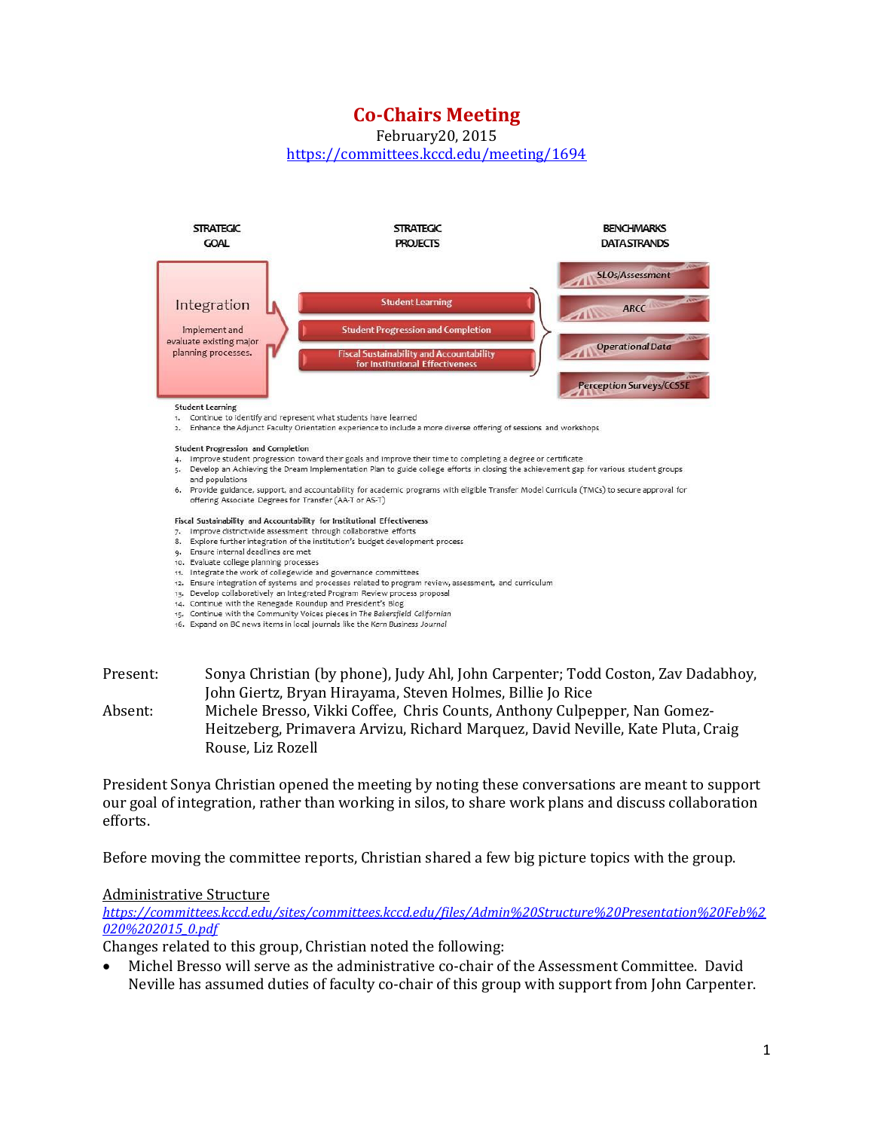# **Co-Chairs Meeting**

February20, 2015

<https://committees.kccd.edu/meeting/1694>



and populations 6. Provide guidance, support, and accountability for academic programs with eligible Transfer Model Curricula (TMCs) to secure approval for offering Associate Degrees for Transfer (AA-T or AS-T)

#### Fiscal Sustainability and Accountability for Institutional Effectiveness

- 7. Improve districtwide assessment through collaborative efforts 8. Explore further integration of the institution's budget development process
- 9. Ensure internal deadlines are met
- 10. Evaluate college planning processes
- 11. Integrate the work of collegewide and governance committees
- 12. Ensure integration of systems and processes related to program review, assessment, and curriculum
- 13. Develop collaboratively an Integrated Program Review process proposal
- 14. Continue with the Renegade Roundup and President's Blog
- 15. Continue with the Community Voices pieces in The Bakersfield Californian 16. Expand on BC news items in local journals like the Kern Business Journal
- 
- Present: Sonya Christian (by phone), Judy Ahl, John Carpenter; Todd Coston, Zav Dadabhoy, John Giertz, Bryan Hirayama, Steven Holmes, Billie Jo Rice Absent: Michele Bresso, Vikki Coffee, Chris Counts, Anthony Culpepper, Nan Gomez-

Heitzeberg, Primavera Arvizu, Richard Marquez, David Neville, Kate Pluta, Craig Rouse, Liz Rozell

President Sonya Christian opened the meeting by noting these conversations are meant to support our goal of integration, rather than working in silos, to share work plans and discuss collaboration efforts.

Before moving the committee reports, Christian shared a few big picture topics with the group.

### Administrative Structure

*[https://committees.kccd.edu/sites/committees.kccd.edu/files/Admin%20Structure%20Presentation%20Feb%2](https://committees.kccd.edu/sites/committees.kccd.edu/files/Admin%20Structure%20Presentation%20Feb%2020%202015_0.pdf) [020%202015\\_0.pdf](https://committees.kccd.edu/sites/committees.kccd.edu/files/Admin%20Structure%20Presentation%20Feb%2020%202015_0.pdf)*

Changes related to this group, Christian noted the following:

 Michel Bresso will serve as the administrative co-chair of the Assessment Committee. David Neville has assumed duties of faculty co-chair of this group with support from John Carpenter.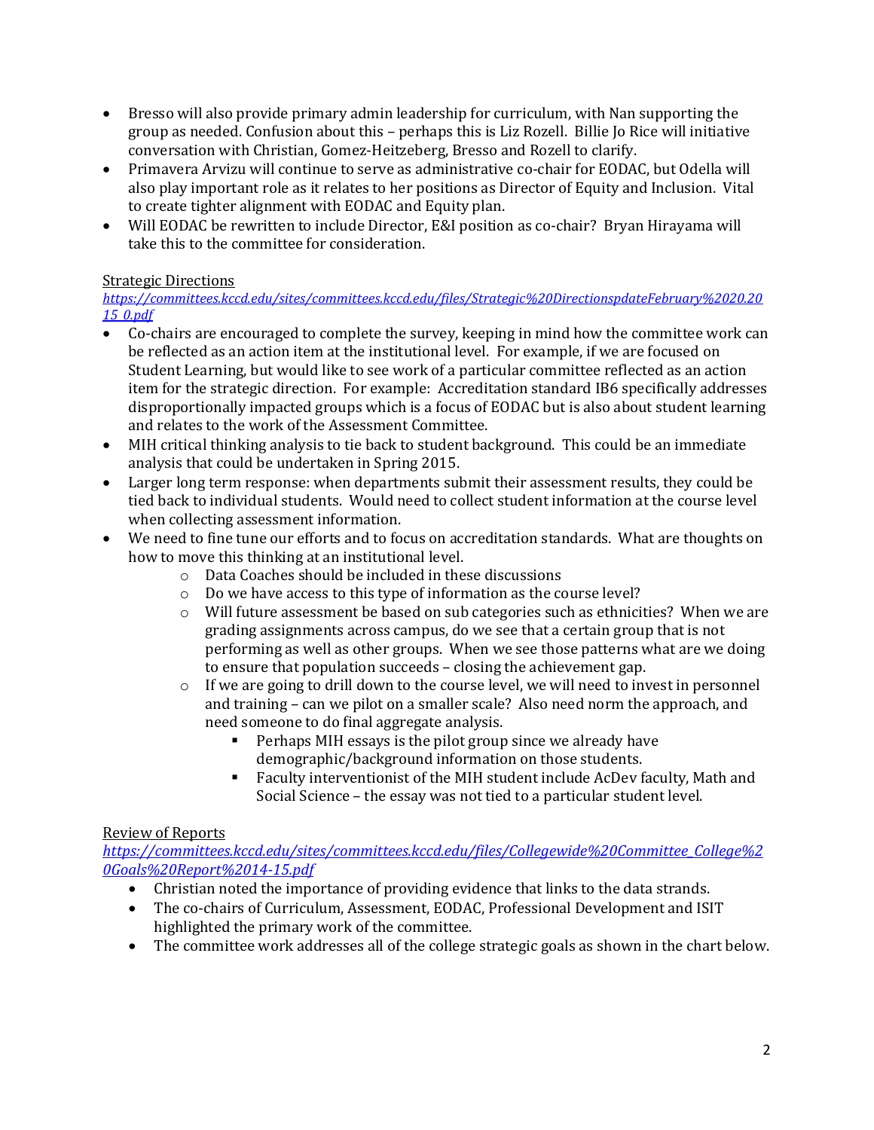- Bresso will also provide primary admin leadership for curriculum, with Nan supporting the group as needed. Confusion about this – perhaps this is Liz Rozell. Billie Jo Rice will initiative conversation with Christian, Gomez-Heitzeberg, Bresso and Rozell to clarify.
- Primavera Arvizu will continue to serve as administrative co-chair for EODAC, but Odella will also play important role as it relates to her positions as Director of Equity and Inclusion. Vital to create tighter alignment with EODAC and Equity plan.
- Will EODAC be rewritten to include Director, E&I position as co-chair? Bryan Hirayama will take this to the committee for consideration.

## Strategic Directions

*[https://committees.kccd.edu/sites/committees.kccd.edu/files/Strategic%20DirectionspdateFebruary%2020.20](https://committees.kccd.edu/sites/committees.kccd.edu/files/Strategic%20DirectionspdateFebruary%2020.2015_0.pdf) [15\\_0.pdf](https://committees.kccd.edu/sites/committees.kccd.edu/files/Strategic%20DirectionspdateFebruary%2020.2015_0.pdf)*

- Co-chairs are encouraged to complete the survey, keeping in mind how the committee work can be reflected as an action item at the institutional level. For example, if we are focused on Student Learning, but would like to see work of a particular committee reflected as an action item for the strategic direction. For example: Accreditation standard IB6 specifically addresses disproportionally impacted groups which is a focus of EODAC but is also about student learning and relates to the work of the Assessment Committee.
- MIH critical thinking analysis to tie back to student background. This could be an immediate analysis that could be undertaken in Spring 2015.
- Larger long term response: when departments submit their assessment results, they could be tied back to individual students. Would need to collect student information at the course level when collecting assessment information.
- We need to fine tune our efforts and to focus on accreditation standards. What are thoughts on how to move this thinking at an institutional level.
	- o Data Coaches should be included in these discussions
	- o Do we have access to this type of information as the course level?
	- o Will future assessment be based on sub categories such as ethnicities? When we are grading assignments across campus, do we see that a certain group that is not performing as well as other groups. When we see those patterns what are we doing to ensure that population succeeds – closing the achievement gap.
	- $\circ$  If we are going to drill down to the course level, we will need to invest in personnel and training – can we pilot on a smaller scale? Also need norm the approach, and need someone to do final aggregate analysis.
		- Perhaps MIH essays is the pilot group since we already have demographic/background information on those students.
		- Faculty interventionist of the MIH student include AcDev faculty, Math and Social Science – the essay was not tied to a particular student level.

## Review of Reports

*[https://committees.kccd.edu/sites/committees.kccd.edu/files/Collegewide%20Committee\\_College%2](https://committees.kccd.edu/sites/committees.kccd.edu/files/Collegewide%20Committee_College%20Goals%20Report%2014-15.pdf) [0Goals%20Report%2014-15.pdf](https://committees.kccd.edu/sites/committees.kccd.edu/files/Collegewide%20Committee_College%20Goals%20Report%2014-15.pdf)*

- Christian noted the importance of providing evidence that links to the data strands.
- The co-chairs of Curriculum, Assessment, EODAC, Professional Development and ISIT highlighted the primary work of the committee.
- The committee work addresses all of the college strategic goals as shown in the chart below.